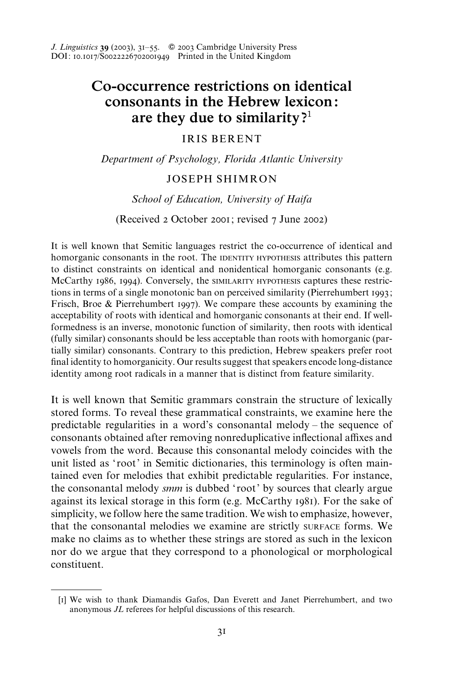# Co-occurrence restrictions on identical consonants in the Hebrew lexicon: are they due to similarity? $1$

# IRIS BERENT

Department of Psychology, Florida Atlantic University

# JOSEPH SHIMRON

# School of Education, University of Haifa

## (Received 2 October 2001; revised 7 June 2002)

It is well known that Semitic languages restrict the co-occurrence of identical and homorganic consonants in the root. The IDENTITY HYPOTHESIS attributes this pattern to distinct constraints on identical and nonidentical homorganic consonants (e.g. McCarthy 1986, 1994). Conversely, the SIMILARITY HYPOTHESIS captures these restrictions in terms of a single monotonic ban on perceived similarity (Pierrehumbert 1993; Frisch, Broe & Pierrehumbert 1997). We compare these accounts by examining the acceptability of roots with identical and homorganic consonants at their end. If wellformedness is an inverse, monotonic function of similarity, then roots with identical (fully similar) consonants should be less acceptable than roots with homorganic (partially similar) consonants. Contrary to this prediction, Hebrew speakers prefer root final identity to homorganicity. Our results suggest that speakers encode long-distance identity among root radicals in a manner that is distinct from feature similarity.

It is well known that Semitic grammars constrain the structure of lexically stored forms. To reveal these grammatical constraints, we examine here the predictable regularities in a word's consonantal melody – the sequence of consonants obtained after removing nonreduplicative inflectional affixes and vowels from the word. Because this consonantal melody coincides with the unit listed as 'root' in Semitic dictionaries, this terminology is often maintained even for melodies that exhibit predictable regularities. For instance, the consonantal melody smm is dubbed 'root' by sources that clearly argue against its lexical storage in this form (e.g. McCarthy 1981). For the sake of simplicity, we follow here the same tradition. We wish to emphasize, however, that the consonantal melodies we examine are strictly SURFACE forms. We make no claims as to whether these strings are stored as such in the lexicon nor do we argue that they correspond to a phonological or morphological constituent.

<sup>[1]</sup> We wish to thank Diamandis Gafos, Dan Everett and Janet Pierrehumbert, and two anonymous JL referees for helpful discussions of this research.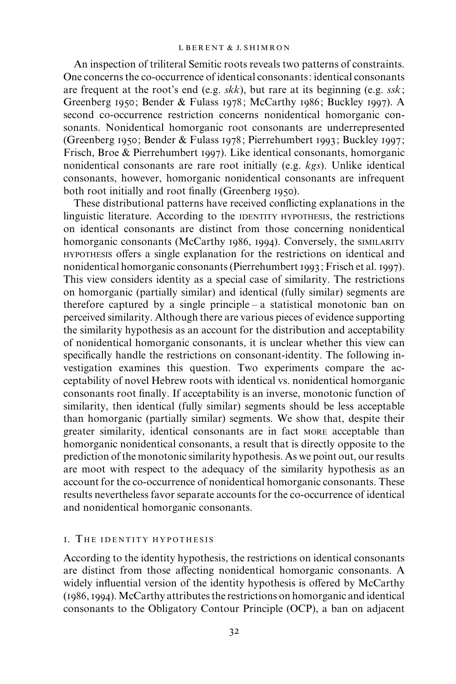An inspection of triliteral Semitic roots reveals two patterns of constraints. One concerns the co-occurrence of identical consonants: identical consonants are frequent at the root's end (e.g.  $skk$ ), but rare at its beginning (e.g.  $ssk$ ; Greenberg 1950; Bender & Fulass 1978; McCarthy 1986; Buckley 1997). A second co-occurrence restriction concerns nonidentical homorganic consonants. Nonidentical homorganic root consonants are underrepresented (Greenberg 1950; Bender & Fulass 1978; Pierrehumbert 1993; Buckley 1997; Frisch, Broe & Pierrehumbert 1997). Like identical consonants, homorganic nonidentical consonants are rare root initially (e.g. kgs). Unlike identical consonants, however, homorganic nonidentical consonants are infrequent both root initially and root finally (Greenberg 1950).

These distributional patterns have received conflicting explanations in the linguistic literature. According to the IDENTITY HYPOTHESIS, the restrictions on identical consonants are distinct from those concerning nonidentical homorganic consonants (McCarthy 1986, 1994). Conversely, the SIMILARITY HYPOTHESIS offers a single explanation for the restrictions on identical and nonidentical homorganic consonants (Pierrehumbert 1993; Frisch et al. 1997). This view considers identity as a special case of similarity. The restrictions on homorganic (partially similar) and identical (fully similar) segments are therefore captured by a single principle – a statistical monotonic ban on perceived similarity. Although there are various pieces of evidence supporting the similarity hypothesis as an account for the distribution and acceptability of nonidentical homorganic consonants, it is unclear whether this view can specifically handle the restrictions on consonant-identity. The following investigation examines this question. Two experiments compare the acceptability of novel Hebrew roots with identical vs. nonidentical homorganic consonants root finally. If acceptability is an inverse, monotonic function of similarity, then identical (fully similar) segments should be less acceptable than homorganic (partially similar) segments. We show that, despite their greater similarity, identical consonants are in fact MORE acceptable than homorganic nonidentical consonants, a result that is directly opposite to the prediction of the monotonic similarity hypothesis. As we point out, our results are moot with respect to the adequacy of the similarity hypothesis as an account for the co-occurrence of nonidentical homorganic consonants. These results nevertheless favor separate accounts for the co-occurrence of identical and nonidentical homorganic consonants.

#### I. THE IDENTITY HYPOTHESIS

According to the identity hypothesis, the restrictions on identical consonants are distinct from those affecting nonidentical homorganic consonants. A widely influential version of the identity hypothesis is offered by McCarthy (1986,1994).McCarthyattributestherestrictions onhomorganicandidentical consonants to the Obligatory Contour Principle (OCP), a ban on adjacent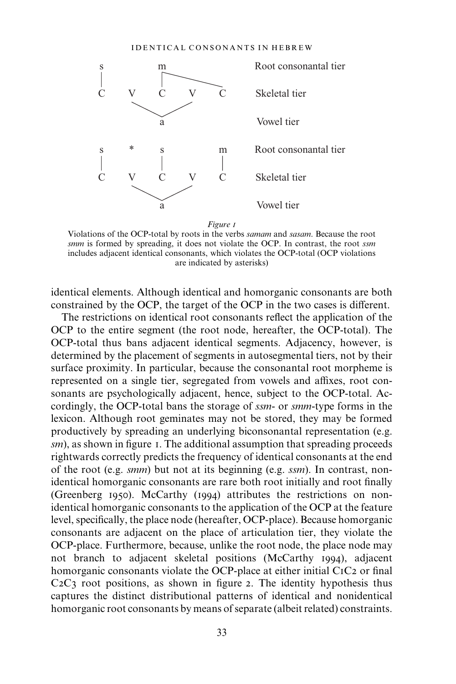

Figure 1

Violations of the OCP-total by roots in the verbs samam and sasam. Because the root smm is formed by spreading, it does not violate the OCP. In contrast, the root ssm includes adjacent identical consonants, which violates the OCP-total (OCP violations are indicated by asterisks)

identical elements. Although identical and homorganic consonants are both constrained by the OCP, the target of the OCP in the two cases is different.

The restrictions on identical root consonants reflect the application of the OCP to the entire segment (the root node, hereafter, the OCP-total). The OCP-total thus bans adjacent identical segments. Adjacency, however, is determined by the placement of segments in autosegmental tiers, not by their surface proximity. In particular, because the consonantal root morpheme is represented on a single tier, segregated from vowels and affixes, root consonants are psychologically adjacent, hence, subject to the OCP-total. Accordingly, the OCP-total bans the storage of ssm- or smm-type forms in the lexicon. Although root geminates may not be stored, they may be formed productively by spreading an underlying biconsonantal representation (e.g. sm), as shown in figure 1. The additional assumption that spreading proceeds rightwards correctly predicts the frequency of identical consonants at the end of the root (e.g. smm) but not at its beginning (e.g. ssm). In contrast, nonidentical homorganic consonants are rare both root initially and root finally (Greenberg 1950). McCarthy (1994) attributes the restrictions on nonidentical homorganic consonants to the application of the OCP at the feature level, specifically, the place node (hereafter, OCP-place). Because homorganic consonants are adjacent on the place of articulation tier, they violate the OCP-place. Furthermore, because, unlike the root node, the place node may not branch to adjacent skeletal positions (McCarthy 1994), adjacent homorganic consonants violate the OCP-place at either initial C<sub>1</sub>C<sub>2</sub> or final  $C_2C_3$  root positions, as shown in figure 2. The identity hypothesis thus captures the distinct distributional patterns of identical and nonidentical homorganic root consonants by means of separate (albeit related) constraints.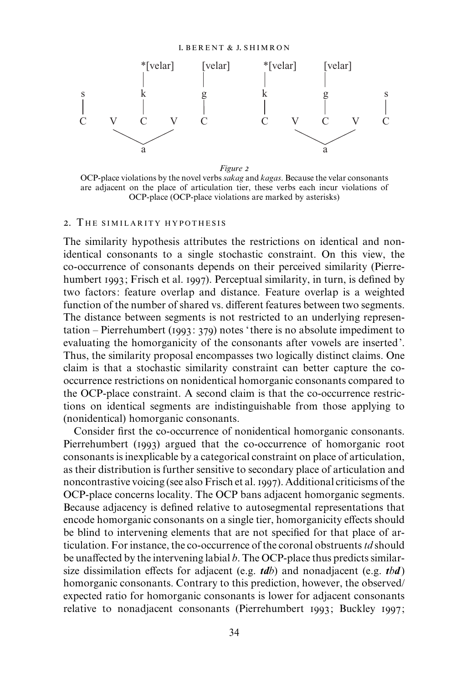

Figure 2

OCP-place violations by the novel verbs sakag and kagas. Because the velar consonants are adjacent on the place of articulation tier, these verbs each incur violations of OCP-place (OCP-place violations are marked by asterisks)

#### 2. T HE SIMILARITY HYPOTHESIS

The similarity hypothesis attributes the restrictions on identical and nonidentical consonants to a single stochastic constraint. On this view, the co-occurrence of consonants depends on their perceived similarity (Pierrehumbert 1993; Frisch et al. 1997). Perceptual similarity, in turn, is defined by two factors: feature overlap and distance. Feature overlap is a weighted function of the number of shared vs. different features between two segments. The distance between segments is not restricted to an underlying representation – Pierrehumbert (1993: 379) notes 'there is no absolute impediment to evaluating the homorganicity of the consonants after vowels are inserted'. Thus, the similarity proposal encompasses two logically distinct claims. One claim is that a stochastic similarity constraint can better capture the cooccurrence restrictions on nonidentical homorganic consonants compared to the OCP-place constraint. A second claim is that the co-occurrence restrictions on identical segments are indistinguishable from those applying to (nonidentical) homorganic consonants.

Consider first the co-occurrence of nonidentical homorganic consonants. Pierrehumbert (1993) argued that the co-occurrence of homorganic root consonants is inexplicable by a categorical constraint on place of articulation, as their distribution is further sensitive to secondary place of articulation and noncontrastive voicing (see also Frisch et al. 1997). Additional criticisms of the OCP-place concerns locality. The OCP bans adjacent homorganic segments. Because adjacency is defined relative to autosegmental representations that encode homorganic consonants on a single tier, homorganicity effects should be blind to intervening elements that are not specified for that place of articulation. For instance, the co-occurrence of the coronal obstruents  $td$  should be unaffected by the intervening labial  $b$ . The OCP-place thus predicts similarsize dissimilation effects for adjacent (e.g.  $\mathit{tdb}$ ) and nonadjacent (e.g.  $\mathit{tdd}$ ) homorganic consonants. Contrary to this prediction, however, the observed/ expected ratio for homorganic consonants is lower for adjacent consonants relative to nonadjacent consonants (Pierrehumbert 1993; Buckley 1997;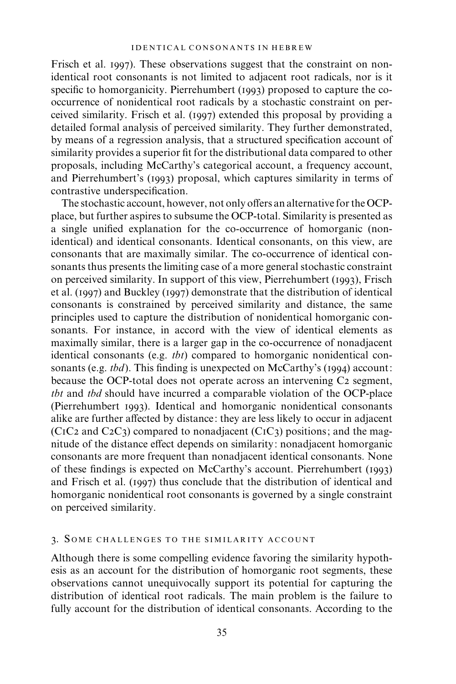Frisch et al. 1997). These observations suggest that the constraint on nonidentical root consonants is not limited to adjacent root radicals, nor is it specific to homorganicity. Pierrehumbert (1993) proposed to capture the cooccurrence of nonidentical root radicals by a stochastic constraint on perceived similarity. Frisch et al. (1997) extended this proposal by providing a detailed formal analysis of perceived similarity. They further demonstrated, by means of a regression analysis, that a structured specification account of similarity provides a superior fit for the distributional data compared to other proposals, including McCarthy's categorical account, a frequency account, and Pierrehumbert's (1993) proposal, which captures similarity in terms of contrastive underspecification.

The stochastic account, however, not only offers an alternative for the OCPplace, but further aspires to subsume the OCP-total. Similarity is presented as a single unified explanation for the co-occurrence of homorganic (nonidentical) and identical consonants. Identical consonants, on this view, are consonants that are maximally similar. The co-occurrence of identical consonants thus presents the limiting case of a more general stochastic constraint on perceived similarity. In support of this view, Pierrehumbert (1993), Frisch et al. (1997) and Buckley (1997) demonstrate that the distribution of identical consonants is constrained by perceived similarity and distance, the same principles used to capture the distribution of nonidentical homorganic consonants. For instance, in accord with the view of identical elements as maximally similar, there is a larger gap in the co-occurrence of nonadjacent identical consonants (e.g. tbt) compared to homorganic nonidentical consonants (e.g. *tbd*). This finding is unexpected on McCarthy's (1994) account: because the OCP-total does not operate across an intervening C<sub>2</sub> segment, tbt and tbd should have incurred a comparable violation of the OCP-place (Pierrehumbert 1993). Identical and homorganic nonidentical consonants alike are further affected by distance: they are less likely to occur in adjacent ( $C_1C_2$  and  $C_2C_3$ ) compared to nonadjacent ( $C_1C_3$ ) positions; and the magnitude of the distance effect depends on similarity: nonadjacent homorganic consonants are more frequent than nonadjacent identical consonants. None of these findings is expected on McCarthy's account. Pierrehumbert (1993) and Frisch et al. (1997) thus conclude that the distribution of identical and homorganic nonidentical root consonants is governed by a single constraint on perceived similarity.

## 3. SOME CHALLENGES TO THE SIMILARITY ACCOUNT

Although there is some compelling evidence favoring the similarity hypothesis as an account for the distribution of homorganic root segments, these observations cannot unequivocally support its potential for capturing the distribution of identical root radicals. The main problem is the failure to fully account for the distribution of identical consonants. According to the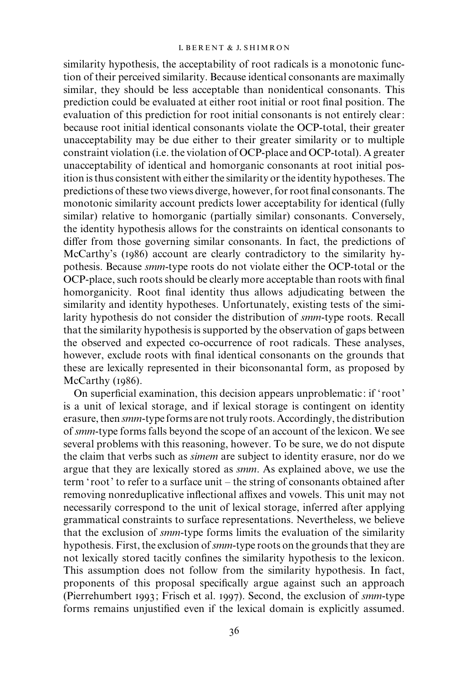similarity hypothesis, the acceptability of root radicals is a monotonic function of their perceived similarity. Because identical consonants are maximally similar, they should be less acceptable than nonidentical consonants. This prediction could be evaluated at either root initial or root final position. The evaluation of this prediction for root initial consonants is not entirely clear: because root initial identical consonants violate the OCP-total, their greater unacceptability may be due either to their greater similarity or to multiple constraint violation (i.e. the violation of OCP-place and OCP-total). A greater unacceptability of identical and homorganic consonants at root initial position is thus consistent with either the similarity or the identity hypotheses. The predictions of these two views diverge, however, for root final consonants. The monotonic similarity account predicts lower acceptability for identical (fully similar) relative to homorganic (partially similar) consonants. Conversely, the identity hypothesis allows for the constraints on identical consonants to differ from those governing similar consonants. In fact, the predictions of McCarthy's (1986) account are clearly contradictory to the similarity hypothesis. Because smm-type roots do not violate either the OCP-total or the OCP-place, such roots should be clearly more acceptable than roots with final homorganicity. Root final identity thus allows adjudicating between the similarity and identity hypotheses. Unfortunately, existing tests of the similarity hypothesis do not consider the distribution of smm-type roots. Recall that the similarity hypothesis is supported by the observation of gaps between the observed and expected co-occurrence of root radicals. These analyses, however, exclude roots with final identical consonants on the grounds that these are lexically represented in their biconsonantal form, as proposed by McCarthy (1986).

On superficial examination, this decision appears unproblematic: if 'root' is a unit of lexical storage, and if lexical storage is contingent on identity erasure, then smm-type forms are not truly roots. Accordingly, the distribution of smm-type forms falls beyond the scope of an account of the lexicon. We see several problems with this reasoning, however. To be sure, we do not dispute the claim that verbs such as simem are subject to identity erasure, nor do we argue that they are lexically stored as smm. As explained above, we use the term 'root' to refer to a surface unit – the string of consonants obtained after removing nonreduplicative inflectional affixes and vowels. This unit may not necessarily correspond to the unit of lexical storage, inferred after applying grammatical constraints to surface representations. Nevertheless, we believe that the exclusion of smm-type forms limits the evaluation of the similarity hypothesis. First, the exclusion of smm-type roots on the grounds that they are not lexically stored tacitly confines the similarity hypothesis to the lexicon. This assumption does not follow from the similarity hypothesis. In fact, proponents of this proposal specifically argue against such an approach (Pierrehumbert 1993; Frisch et al. 1997). Second, the exclusion of smm-type forms remains unjustified even if the lexical domain is explicitly assumed.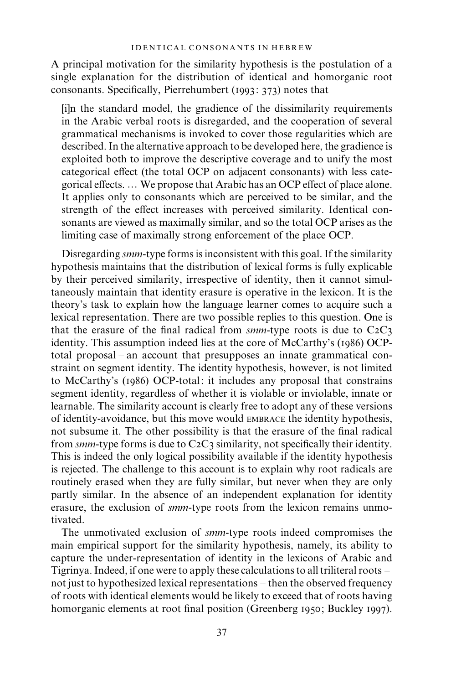A principal motivation for the similarity hypothesis is the postulation of a single explanation for the distribution of identical and homorganic root consonants. Specifically, Pierrehumbert (1993: 373) notes that

[i]n the standard model, the gradience of the dissimilarity requirements in the Arabic verbal roots is disregarded, and the cooperation of several grammatical mechanisms is invoked to cover those regularities which are described. In the alternative approach to be developed here, the gradience is exploited both to improve the descriptive coverage and to unify the most categorical effect (the total OCP on adjacent consonants) with less categorical effects.  $\ldots$  We propose that Arabic has an OCP effect of place alone. It applies only to consonants which are perceived to be similar, and the strength of the effect increases with perceived similarity. Identical consonants are viewed as maximally similar, and so the total OCP arises as the limiting case of maximally strong enforcement of the place OCP.

Disregarding smm-type forms is inconsistent with this goal. If the similarity hypothesis maintains that the distribution of lexical forms is fully explicable by their perceived similarity, irrespective of identity, then it cannot simultaneously maintain that identity erasure is operative in the lexicon. It is the theory's task to explain how the language learner comes to acquire such a lexical representation. There are two possible replies to this question. One is that the erasure of the final radical from smm-type roots is due to  $C_2C_3$ identity. This assumption indeed lies at the core of McCarthy's (1986) OCPtotal proposal – an account that presupposes an innate grammatical constraint on segment identity. The identity hypothesis, however, is not limited to McCarthy's (1986) OCP-total: it includes any proposal that constrains segment identity, regardless of whether it is violable or inviolable, innate or learnable. The similarity account is clearly free to adopt any of these versions of identity-avoidance, but this move would EMBRACE the identity hypothesis, not subsume it. The other possibility is that the erasure of the final radical from smm-type forms is due to  $C_2C_3$  similarity, not specifically their identity. This is indeed the only logical possibility available if the identity hypothesis is rejected. The challenge to this account is to explain why root radicals are routinely erased when they are fully similar, but never when they are only partly similar. In the absence of an independent explanation for identity erasure, the exclusion of smm-type roots from the lexicon remains unmotivated.

The unmotivated exclusion of smm-type roots indeed compromises the main empirical support for the similarity hypothesis, namely, its ability to capture the under-representation of identity in the lexicons of Arabic and Tigrinya. Indeed, if one were to apply these calculations to all triliteral roots – not just to hypothesized lexical representations – then the observed frequency of roots with identical elements would be likely to exceed that of roots having homorganic elements at root final position (Greenberg 1950; Buckley 1997).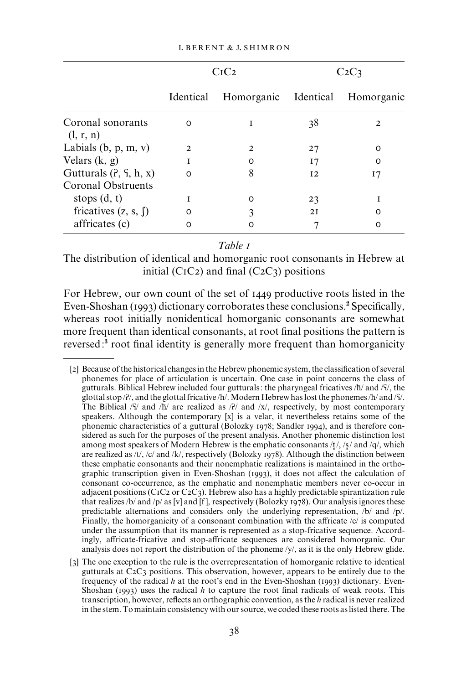|                                                | C <sub>1</sub> C <sub>2</sub> |                      | C2C3 |                |
|------------------------------------------------|-------------------------------|----------------------|------|----------------|
|                                                | Identical                     | Homorganic Identical |      | Homorganic     |
| Coronal sonorants<br>(l, r, n)                 | $\Omega$                      | I                    | 38   | $\mathfrak{D}$ |
| Labials $(b, p, m, v)$                         | $\mathfrak{D}$                | $\mathfrak{D}$       | 27   | $\Omega$       |
| Velars $(k, g)$                                |                               | Ο                    | 17   | $\Omega$       |
| Gutturals $(2, 5, h, x)$<br>Coronal Obstruents | $\Omega$                      | 8                    | 12   | 17             |
| stops $(d, t)$                                 | T                             | Ο                    | 23   | I              |
| fricatives $(z, s, f)$                         | ∩                             |                      | 2I   | ∩              |
| affricates (c)                                 | Ω                             |                      |      | ი              |

#### I. BERENT & J. SHIMRON

Table 1

The distribution of identical and homorganic root consonants in Hebrew at initial  $(C_1C_2)$  and final  $(C_2C_3)$  positions

For Hebrew, our own count of the set of 1449 productive roots listed in the Even-Shoshan (1993) dictionary corroborates these conclusions.<sup>2</sup> Specifically, whereas root initially nonidentical homorganic consonants are somewhat more frequent than identical consonants, at root final positions the pattern is reversed:<sup>3</sup> root final identity is generally more frequent than homorganicity

<sup>[2]</sup> Because of the historical changes in the Hebrew phonemic system, the classification of several phonemes for place of articulation is uncertain. One case in point concerns the class of gutturals. Biblical Hebrew included four gutturals: the pharyngeal fricatives  $/h/$  and  $/h/$ , the glottal stop/?/, and the glottal fricative /h/. Modern Hebrew has lost the phonemes/ $\hbar$ / and/ $\hbar$ /. The Biblical /S/ and /h/ are realized as / $P$ / and /x/, respectively, by most contemporary speakers. Although the contemporary [x] is a velar, it nevertheless retains some of the phonemic characteristics of a guttural (Bolozky 1978; Sandler 1994), and is therefore considered as such for the purposes of the present analysis. Another phonemic distinction lost among most speakers of Modern Hebrew is the emphatic consonants  $/t/$ ,  $/s/$  and  $/q/$ , which are realized as  $/t/$   $/c/$  and  $/k/$  respectively (Bolozky 1078). Although the distinction between are realized as  $/t$ ,  $/c$  and  $/k$ , respectively (Bolozky 1978). Although the distinction between these emphatic consonants and their nonemphatic realizations is maintained in the orthographic transcription given in Even-Shoshan (1993), it does not affect the calculation of consonant co-occurrence, as the emphatic and nonemphatic members never co-occur in adjacent positions ( $C_1C_2$  or  $C_2C_3$ ). Hebrew also has a highly predictable spirantization rule that realizes /b/ and /p/ as [v] and [f], respectively (Bolozky 1978). Our analysis ignores these predictable alternations and considers only the underlying representation, /b/ and /p/. Finally, the homorganicity of a consonant combination with the affricate /c/ is computed under the assumption that its manner is represented as a stop-fricative sequence. Accordingly, affricate-fricative and stop-affricate sequences are considered homorganic. Our analysis does not report the distribution of the phoneme /y/, as it is the only Hebrew glide.

<sup>[3]</sup> The one exception to the rule is the overrepresentation of homorganic relative to identical gutturals at  $C_2C_3$  positions. This observation, however, appears to be entirely due to the frequency of the radical h at the root's end in the Even-Shoshan (1993) dictionary. Even-Shoshan (1993) uses the radical  $h$  to capture the root final radicals of weak roots. This transcription, however, reflects an orthographic convention, as the h radical is never realized in the stem. To maintain consistency with our source, we coded these roots as listed there. The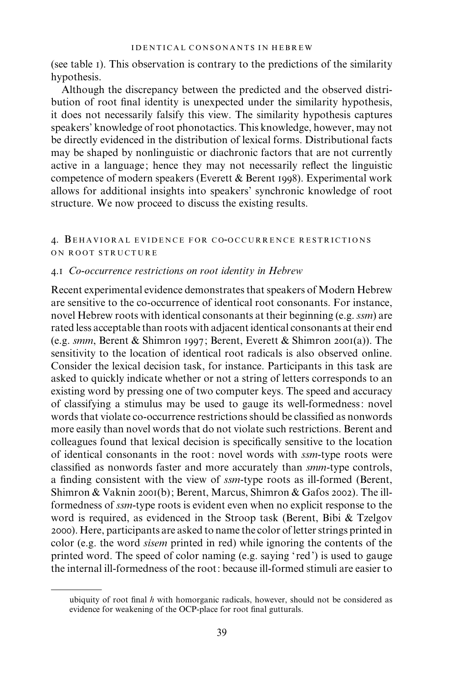(see table 1). This observation is contrary to the predictions of the similarity hypothesis.

Although the discrepancy between the predicted and the observed distribution of root final identity is unexpected under the similarity hypothesis, it does not necessarily falsify this view. The similarity hypothesis captures speakers' knowledge of root phonotactics. This knowledge, however, may not be directly evidenced in the distribution of lexical forms. Distributional facts may be shaped by nonlinguistic or diachronic factors that are not currently active in a language; hence they may not necessarily reflect the linguistic competence of modern speakers (Everett & Berent 1998). Experimental work allows for additional insights into speakers' synchronic knowledge of root structure. We now proceed to discuss the existing results.

4. BEHAVIORAL EVIDENCE FOR CO-OCCURRENCE RESTRICTIONS ON ROOT STRUCTURE

## 4.1 Co-occurrence restrictions on root identity in Hebrew

Recent experimental evidence demonstrates that speakers of Modern Hebrew are sensitive to the co-occurrence of identical root consonants. For instance, novel Hebrew roots with identical consonants at their beginning (e.g. ssm) are rated less acceptable than roots with adjacent identical consonantsat their end (e.g. smm, Berent & Shimron 1997; Berent, Everett & Shimron 2001(a)). The sensitivity to the location of identical root radicals is also observed online. Consider the lexical decision task, for instance. Participants in this task are asked to quickly indicate whether or not a string of letters corresponds to an existing word by pressing one of two computer keys. The speed and accuracy of classifying a stimulus may be used to gauge its well-formedness: novel words that violate co-occurrence restrictions should be classified as nonwords more easily than novel words that do not violate such restrictions. Berent and colleagues found that lexical decision is specifically sensitive to the location of identical consonants in the root: novel words with ssm-type roots were classified as nonwords faster and more accurately than smm-type controls, a finding consistent with the view of ssm-type roots as ill-formed (Berent, Shimron & Vaknin 2001(b); Berent, Marcus, Shimron & Gafos 2002). The illformedness of ssm-type roots is evident even when no explicit response to the word is required, as evidenced in the Stroop task (Berent, Bibi & Tzelgov 2000). Here, participants are asked to name the color of letter strings printed in color (e.g. the word sisem printed in red) while ignoring the contents of the printed word. The speed of color naming (e.g. saying 'red') is used to gauge the internal ill-formedness of the root: because ill-formed stimuli are easier to

ubiquity of root final  $h$  with homorganic radicals, however, should not be considered as evidence for weakening of the OCP-place for root final gutturals.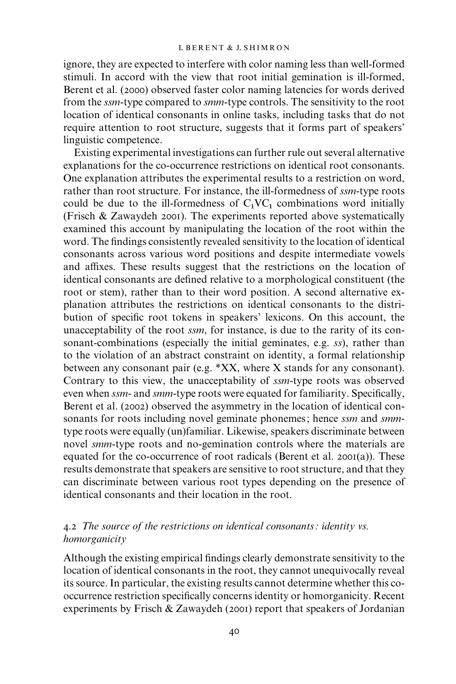ignore, they are expected to interfere with color naming less than well-formed stimuli. In accord with the view that root initial gemination is ill-formed, Berent et al. (2000) observed faster color naming latencies for words derived from the ssm-type compared to smm-type controls. The sensitivity to the root location of identical consonants in online tasks, including tasks that do not require attention to root structure, suggests that it forms part of speakers' linguistic competence.

Existing experimental investigations can further rule out several alternative explanations for the co-occurrence restrictions on identical root consonants. One explanation attributes the experimental results to a restriction on word, rather than root structure. For instance, the ill-formedness of ssm-type roots could be due to the ill-formedness of  $C_1VC_1$  combinations word initially (Frisch & Zawaydeh 2001). The experiments reported above systematically examined this account by manipulating the location of the root within the word. The findings consistently revealed sensitivity to the location of identical consonants across various word positions and despite intermediate vowels and affixes. These results suggest that the restrictions on the location of identical consonants are defined relative to a morphological constituent (the root or stem), rather than to their word position. A second alternative explanation attributes the restrictions on identical consonants to the distribution of specific root tokens in speakers' lexicons. On this account, the unacceptability of the root ssm, for instance, is due to the rarity of its consonant-combinations (especially the initial geminates, e.g. ss), rather than to the violation of an abstract constraint on identity, a formal relationship between any consonant pair (e.g. \*XX, where X stands for any consonant). Contrary to this view, the unacceptability of ssm-type roots was observed even when ssm- and smm-type roots were equated for familiarity. Specifically, Berent et al. (2002) observed the asymmetry in the location of identical consonants for roots including novel geminate phonemes; hence ssm and smmtype roots were equally (un)familiar. Likewise, speakers discriminate between novel smm-type roots and no-gemination controls where the materials are equated for the co-occurrence of root radicals (Berent et al. 2001(a)). These results demonstrate that speakers are sensitive to root structure, and that they can discriminate between various root types depending on the presence of identical consonants and their location in the root.

# 4.2 The source of the restrictions on identical consonants: identity vs. homorganicity

Although the existing empirical findings clearly demonstrate sensitivity to the location of identical consonants in the root, they cannot unequivocally reveal its source. In particular, the existing results cannot determine whether this cooccurrence restriction specifically concerns identity or homorganicity. Recent experiments by Frisch & Zawaydeh (2001) report that speakers of Jordanian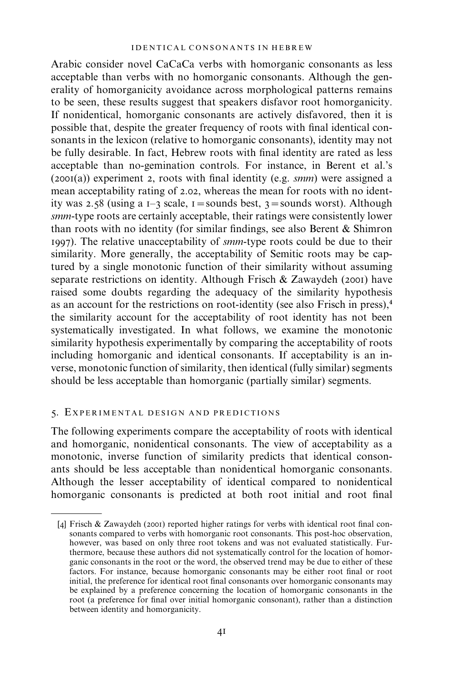Arabic consider novel CaCaCa verbs with homorganic consonants as less acceptable than verbs with no homorganic consonants. Although the generality of homorganicity avoidance across morphological patterns remains to be seen, these results suggest that speakers disfavor root homorganicity. If nonidentical, homorganic consonants are actively disfavored, then it is possible that, despite the greater frequency of roots with final identical consonants in the lexicon (relative to homorganic consonants), identity may not be fully desirable. In fact, Hebrew roots with final identity are rated as less acceptable than no-gemination controls. For instance, in Berent et al.'s  $(200I(a))$  experiment 2, roots with final identity (e.g. smm) were assigned a mean acceptability rating of 2.02, whereas the mean for roots with no identity was 2.58 (using a  $I$  –3 scale,  $I$  = sounds best, 3 = sounds worst). Although smm-type roots are certainly acceptable, their ratings were consistently lower than roots with no identity (for similar findings, see also Berent & Shimron 1997). The relative unacceptability of smm-type roots could be due to their similarity. More generally, the acceptability of Semitic roots may be captured by a single monotonic function of their similarity without assuming separate restrictions on identity. Although Frisch & Zawaydeh (2001) have raised some doubts regarding the adequacy of the similarity hypothesis as an account for the restrictions on root-identity (see also Frisch in press),<sup>4</sup> the similarity account for the acceptability of root identity has not been systematically investigated. In what follows, we examine the monotonic similarity hypothesis experimentally by comparing the acceptability of roots including homorganic and identical consonants. If acceptability is an inverse, monotonic function of similarity, then identical (fully similar) segments should be less acceptable than homorganic (partially similar) segments.

#### 5. E XPERIMENTAL DESIGN AND PREDICTIONS

The following experiments compare the acceptability of roots with identical and homorganic, nonidentical consonants. The view of acceptability as a monotonic, inverse function of similarity predicts that identical consonants should be less acceptable than nonidentical homorganic consonants. Although the lesser acceptability of identical compared to nonidentical homorganic consonants is predicted at both root initial and root final

<sup>[4]</sup> Frisch & Zawaydeh (2001) reported higher ratings for verbs with identical root final consonants compared to verbs with homorganic root consonants. This post-hoc observation, however, was based on only three root tokens and was not evaluated statistically. Furthermore, because these authors did not systematically control for the location of homorganic consonants in the root or the word, the observed trend may be due to either of these factors. For instance, because homorganic consonants may be either root final or root initial, the preference for identical root final consonants over homorganic consonants may be explained by a preference concerning the location of homorganic consonants in the root (a preference for final over initial homorganic consonant), rather than a distinction between identity and homorganicity.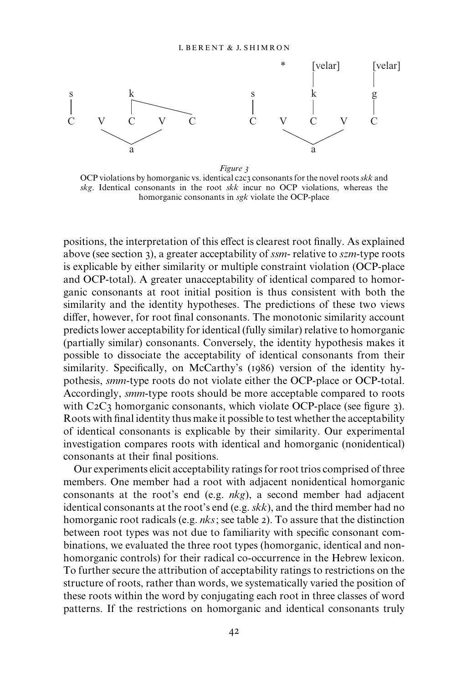

Figure 3 OCP violations by homorganic vs. identical c2c3 consonants for the novel roots  $skk$  and skg. Identical consonants in the root skk incur no OCP violations, whereas the homorganic consonants in sgk violate the OCP-place

positions, the interpretation of this effect is clearest root finally. As explained above (see section 3), a greater acceptability of ssm-relative to szm-type roots is explicable by either similarity or multiple constraint violation (OCP-place and OCP-total). A greater unacceptability of identical compared to homorganic consonants at root initial position is thus consistent with both the similarity and the identity hypotheses. The predictions of these two views differ, however, for root final consonants. The monotonic similarity account predicts lower acceptability for identical (fully similar) relative to homorganic (partially similar) consonants. Conversely, the identity hypothesis makes it possible to dissociate the acceptability of identical consonants from their similarity. Specifically, on McCarthy's (1986) version of the identity hypothesis, smm-type roots do not violate either the OCP-place or OCP-total. Accordingly, smm-type roots should be more acceptable compared to roots with  $C_2C_3$  homorganic consonants, which violate OCP-place (see figure 3). Roots with final identity thus make it possible to test whether the acceptability of identical consonants is explicable by their similarity. Our experimental investigation compares roots with identical and homorganic (nonidentical) consonants at their final positions.

Our experiments elicit acceptability ratings for root trios comprised of three members. One member had a root with adjacent nonidentical homorganic consonants at the root's end (e.g. nkg), a second member had adjacent identical consonants at the root's end (e.g. skk), and the third member had no homorganic root radicals (e.g. *nks*; see table 2). To assure that the distinction between root types was not due to familiarity with specific consonant combinations, we evaluated the three root types (homorganic, identical and nonhomorganic controls) for their radical co-occurrence in the Hebrew lexicon. To further secure the attribution of acceptability ratings to restrictions on the structure of roots, rather than words, we systematically varied the position of these roots within the word by conjugating each root in three classes of word patterns. If the restrictions on homorganic and identical consonants truly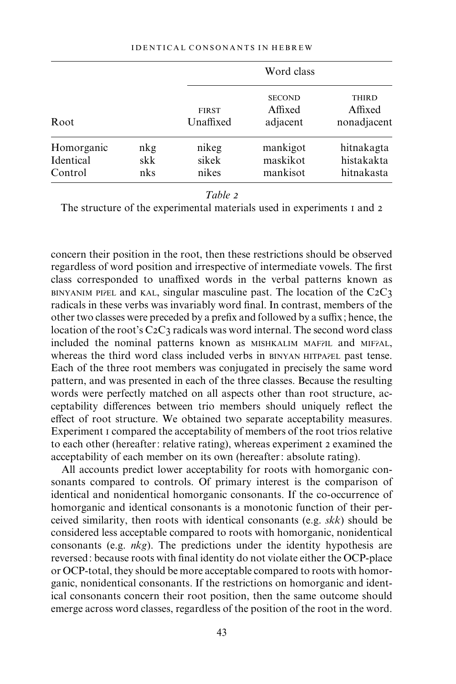|                                           |                   |                           | Word class                           |                                        |  |
|-------------------------------------------|-------------------|---------------------------|--------------------------------------|----------------------------------------|--|
| Root                                      |                   | <b>FIRST</b><br>Unaffixed | <b>SECOND</b><br>Affixed<br>adjacent | <b>THIRD</b><br>Affixed<br>nonadjacent |  |
| Homorganic<br><b>Identical</b><br>Control | nkg<br>skk<br>nks | nikeg<br>sikek<br>nikes   | mankigot<br>maskikot<br>mankisot     | hitnakagta<br>histakakta<br>hitnakasta |  |

Table 2

The structure of the experimental materials used in experiments 1 and 2

concern their position in the root, then these restrictions should be observed regardless of word position and irrespective of intermediate vowels. The first class corresponded to unaffixed words in the verbal patterns known as BINYANIM PI?EL and KAL, singular masculine past. The location of the  $C_2C_3$ radicals in these verbs was invariably word final. In contrast, members of the other two classes were preceded by a prefix and followed by a suffix; hence, the location of the root's C<sub>2</sub>C<sub>3</sub> radicals was word internal. The second word class included the nominal patterns known as MISHKALIM MAF?IL and MIF?AL, whereas the third word class included verbs in BINYAN HITPA?EL past tense. Each of the three root members was conjugated in precisely the same word pattern, and was presented in each of the three classes. Because the resulting words were perfectly matched on all aspects other than root structure, acceptability differences between trio members should uniquely reflect the effect of root structure. We obtained two separate acceptability measures. Experiment 1 compared the acceptability of members of the root trios relative to each other (hereafter: relative rating), whereas experiment 2 examined the acceptability of each member on its own (hereafter: absolute rating).

All accounts predict lower acceptability for roots with homorganic consonants compared to controls. Of primary interest is the comparison of identical and nonidentical homorganic consonants. If the co-occurrence of homorganic and identical consonants is a monotonic function of their perceived similarity, then roots with identical consonants (e.g.  $skk$ ) should be considered less acceptable compared to roots with homorganic, nonidentical consonants (e.g. nkg). The predictions under the identity hypothesis are reversed: because roots with final identity do not violate either the OCP-place or OCP-total, they should be more acceptable compared to roots with homorganic, nonidentical consonants. If the restrictions on homorganic and identical consonants concern their root position, then the same outcome should emerge across word classes, regardless of the position of the root in the word.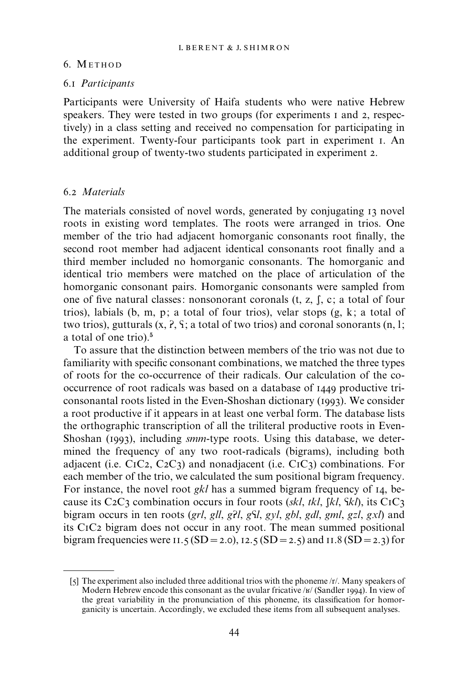#### 6. METHOD

#### 6.1 Participants

Participants were University of Haifa students who were native Hebrew speakers. They were tested in two groups (for experiments 1 and 2, respectively) in a class setting and received no compensation for participating in the experiment. Twenty-four participants took part in experiment 1. An additional group of twenty-two students participated in experiment 2.

#### 6.2 Materials

The materials consisted of novel words, generated by conjugating 13 novel roots in existing word templates. The roots were arranged in trios. One member of the trio had adjacent homorganic consonants root finally, the second root member had adjacent identical consonants root finally and a third member included no homorganic consonants. The homorganic and identical trio members were matched on the place of articulation of the homorganic consonant pairs. Homorganic consonants were sampled from one of five natural classes: nonsonorant coronals  $(t, z, \int, c; a$  total of four trios), labials (b, m, p; a total of four trios), velar stops (g, k; a total of two trios), gutturals  $(x, ?, S; a$  total of two trios) and coronal sonorants  $(n, l; c)$ a total of one trio).<sup>5</sup>

To assure that the distinction between members of the trio was not due to familiarity with specific consonant combinations, we matched the three types of roots for the co-occurrence of their radicals. Our calculation of the cooccurrence of root radicals was based on a database of 1449 productive triconsonantal roots listed in the Even-Shoshan dictionary (1993). We consider a root productive if it appears in at least one verbal form. The database lists the orthographic transcription of all the triliteral productive roots in Even-Shoshan (1993), including smm-type roots. Using this database, we determined the frequency of any two root-radicals (bigrams), including both adjacent (i.e.  $C_1C_2$ ,  $C_2C_3$ ) and nonadjacent (i.e.  $C_1C_3$ ) combinations. For each member of the trio, we calculated the sum positional bigram frequency. For instance, the novel root *gkl* has a summed bigram frequency of 14, because its C2C3 combination occurs in four roots (skl, tkl,  $\lceil k \rceil$ ,  $\lceil k \rceil$ , its C<sub>1</sub>C<sub>3</sub> bigram occurs in ten roots (grl, gll, g $Rl$ , g $Sl$ , gyl, gbl, gdl, gml, gzl, gxl) and its C1C2 bigram does not occur in any root. The mean summed positional bigram frequencies were 11.5 (SD = 2.0), 12.5 (SD = 2.5) and 11.8 (SD = 2.3) for

<sup>[5]</sup> The experiment also included three additional trios with the phoneme /r/. Many speakers of Modern Hebrew encode this consonant as the uvular fricative  $/k/$  (Sandler 1994). In view of the great variability in the pronunciation of this phoneme, its classification for homorganicity is uncertain. Accordingly, we excluded these items from all subsequent analyses.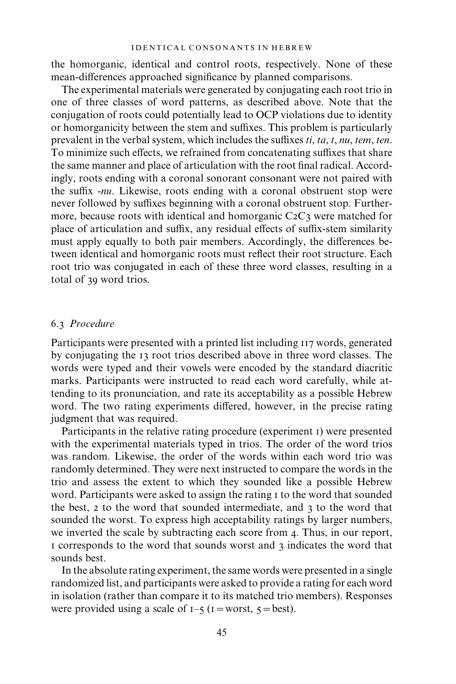the homorganic, identical and control roots, respectively. None of these mean-differences approached significance by planned comparisons.

The experimental materials were generated by conjugating each root trio in one of three classes of word patterns, as described above. Note that the conjugation of roots could potentially lead to OCP violations due to identity or homorganicity between the stem and suffixes. This problem is particularly prevalent in the verbal system, which includes the suffixes  $t_i$ ,  $t_a$ ,  $t_a$ ,  $t_b$ ,  $t_a$ ,  $t_e$ ,  $t_e$ ,  $t_e$ , To minimize such effects, we refrained from concatenating suffixes that share the same manner and place of articulation with the root final radical. Accordingly, roots ending with a coronal sonorant consonant were not paired with the suffix -nu. Likewise, roots ending with a coronal obstruent stop were never followed by suffixes beginning with a coronal obstruent stop. Furthermore, because roots with identical and homorganic C2C3 were matched for place of articulation and suffix, any residual effects of suffix-stem similarity must apply equally to both pair members. Accordingly, the differences between identical and homorganic roots must reflect their root structure. Each root trio was conjugated in each of these three word classes, resulting in a total of 39 word trios.

## 6.3 Procedure

Participants were presented with a printed list including 117 words, generated by conjugating the 13 root trios described above in three word classes. The words were typed and their vowels were encoded by the standard diacritic marks. Participants were instructed to read each word carefully, while attending to its pronunciation, and rate its acceptability as a possible Hebrew word. The two rating experiments differed, however, in the precise rating judgment that was required.

Participants in the relative rating procedure (experiment 1) were presented with the experimental materials typed in trios. The order of the word trios was random. Likewise, the order of the words within each word trio was randomly determined. They were next instructed to compare the words in the trio and assess the extent to which they sounded like a possible Hebrew word. Participants were asked to assign the rating 1 to the word that sounded the best, 2 to the word that sounded intermediate, and 3 to the word that sounded the worst. To express high acceptability ratings by larger numbers, we inverted the scale by subtracting each score from 4. Thus, in our report, 1 corresponds to the word that sounds worst and 3 indicates the word that sounds best.

In the absolute rating experiment, the same words were presented in a single randomized list, and participants were asked to provide a rating for each word in isolation (rather than compare it to its matched trio members). Responses were provided using a scale of  $I-5$  ( $I=$ worst,  $5=$ best).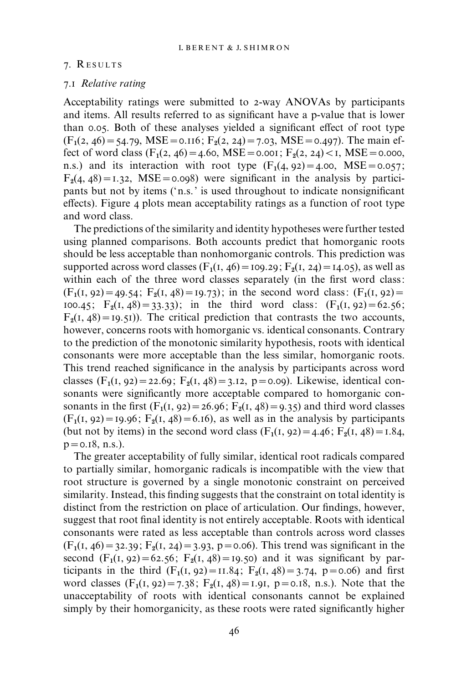#### 7. RESULTS

### 7.1 Relative rating

Acceptability ratings were submitted to 2-way ANOVAs by participants and items. All results referred to as significant have a p-value that is lower than 0.05. Both of these analyses yielded a significant effect of root type  $(F<sub>1</sub>(2, 46) = 54.79, MSE = 0.116$ ;  $F<sub>2</sub>(2, 24) = 7.03$ , MSE = 0.497). The main effect of word class  $(F_1(2, 46) = 4.60, \text{MSE} = 0.001; F_2(2, 24) < 1, \text{MSE} = 0.000,$ n.s.) and its interaction with root type  $(F_1(4, 92)=4.00, \text{MSE}=0.057$ ;  $F<sub>2</sub>(4, 48) = 1.32$ , MSE = 0.098) were significant in the analysis by participants but not by items ('n.s.' is used throughout to indicate nonsignificant effects). Figure 4 plots mean acceptability ratings as a function of root type and word class.

The predictions of the similarity and identity hypotheses were further tested using planned comparisons. Both accounts predict that homorganic roots should be less acceptable than nonhomorganic controls. This prediction was supported across word classes  $(F_1(1, 46) = 109.29; F_2(1, 24) = 14.05)$ , as well as within each of the three word classes separately (in the first word class:  $(F_1(1, 92)=49.54$ ;  $F_2(1, 48)=19.73$ ; in the second word class:  $(F_1(1, 92)=$ 100.45;  $F_2(I, 48) = 33.33$ ; in the third word class:  $(F_1(I, 92) = 62.56$ ;  $F_2(I, 48) = 19.5I$ ). The critical prediction that contrasts the two accounts, however, concerns roots with homorganic vs. identical consonants. Contrary to the prediction of the monotonic similarity hypothesis, roots with identical consonants were more acceptable than the less similar, homorganic roots. This trend reached significance in the analysis by participants across word classes (F<sub>1</sub>(1, 92)=22.69; F<sub>2</sub>(1, 48)=3.12, p=0.09). Likewise, identical consonants were significantly more acceptable compared to homorganic consonants in the first  $(F_1(1, 92)=26.96; F_2(1, 48)=9.35)$  and third word classes  $(F_1(1, 92) = 19.96$ ;  $F_2(1, 48) = 6.16$ ), as well as in the analysis by participants (but not by items) in the second word class  $(F_1(1, 92)=4.46; F_2(1, 48)=1.84$ ,  $p = 0.18$ , n.s.).

The greater acceptability of fully similar, identical root radicals compared to partially similar, homorganic radicals is incompatible with the view that root structure is governed by a single monotonic constraint on perceived similarity. Instead, this finding suggests that the constraint on total identity is distinct from the restriction on place of articulation. Our findings, however, suggest that root final identity is not entirely acceptable. Roots with identical consonants were rated as less acceptable than controls across word classes  $(F_1(1, 46) = 32.39; F_2(1, 24) = 3.93, p = 0.06)$ . This trend was significant in the second  $(F_1(1, 92) = 62.56$ ;  $F_2(1, 48) = 19.50$  and it was significant by participants in the third  $(F_1(1, 92) = 11.84; F_2(1, 48) = 3.74, p = 0.06)$  and first word classes  $(F_1(I, 92)=7.38; F_2(I, 48)=1.9I, p=0.18, n.s.).$  Note that the unacceptability of roots with identical consonants cannot be explained simply by their homorganicity, as these roots were rated significantly higher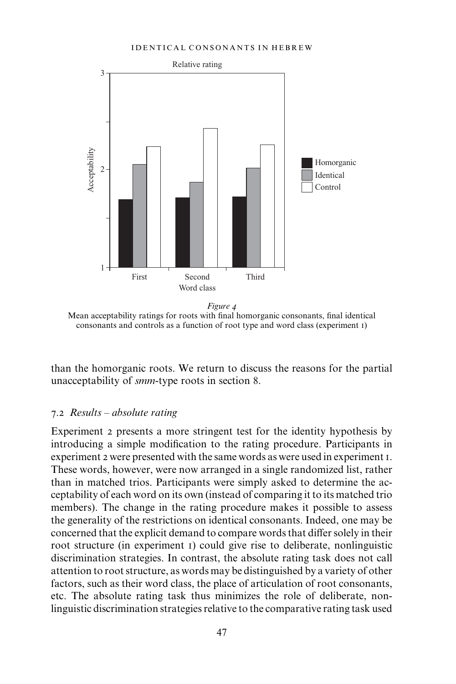

Figure 4 Mean acceptability ratings for roots with final homorganic consonants, final identical consonants and controls as a function of root type and word class (experiment 1)

than the homorganic roots. We return to discuss the reasons for the partial unacceptability of smm-type roots in section 8.

### 7.2 Results – absolute rating

Experiment 2 presents a more stringent test for the identity hypothesis by introducing a simple modification to the rating procedure. Participants in experiment 2 were presented with the same words as were used in experiment I. These words, however, were now arranged in a single randomized list, rather than in matched trios. Participants were simply asked to determine the acceptability of each word on its own (instead of comparing it to its matched trio members). The change in the rating procedure makes it possible to assess the generality of the restrictions on identical consonants. Indeed, one may be concerned that the explicit demand to compare words that differ solely in their root structure (in experiment 1) could give rise to deliberate, nonlinguistic discrimination strategies. In contrast, the absolute rating task does not call attention to root structure, as words may be distinguished by a variety of other factors, such as their word class, the place of articulation of root consonants, etc. The absolute rating task thus minimizes the role of deliberate, nonlinguistic discrimination strategies relative to the comparative rating task used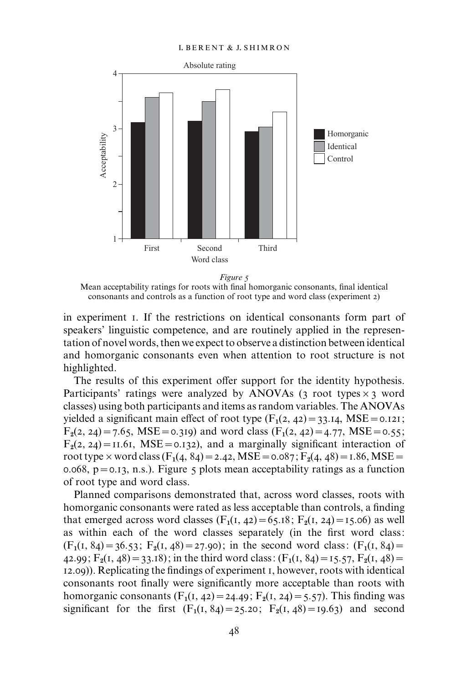#### I. BERENT & J. SHIMRON



Figure 5

Mean acceptability ratings for roots with final homorganic consonants, final identical consonants and controls as a function of root type and word class (experiment 2)

in experiment 1. If the restrictions on identical consonants form part of speakers' linguistic competence, and are routinely applied in the representation of novel words, then we expect to observe a distinction between identical and homorganic consonants even when attention to root structure is not highlighted.

The results of this experiment offer support for the identity hypothesis. Participants' ratings were analyzed by ANOVAs (3 root types  $\times$  3 word classes) using both participants and items as random variables. The ANOVAs yielded a significant main effect of root type  $(F_1(2, 42)=33.14, \text{MSE}=0.121;$  $F_2(2, 24) = 7.65$ , MSE = 0.319) and word class  $(F_1(2, 42) = 4.77$ , MSE = 0.55;  $F_2(2, 24) = 11.61$ , MSE = 0.132), and a marginally significant interaction of root type  $\times$  word class (F<sub>1</sub>(4, 84) = 2.42, MSE = 0.087; F<sub>2</sub>(4, 48) = 1.86, MSE = 0.068,  $p = 0.13$ , n.s.). Figure 5 plots mean acceptability ratings as a function of root type and word class.

Planned comparisons demonstrated that, across word classes, roots with homorganic consonants were rated as less acceptable than controls, a finding that emerged across word classes  $(F_1(I, 42) = 65.18; F_2(I, 24) = 15.06$  as well as within each of the word classes separately (in the first word class:  $(F_1(I, 84) = 36.53$ ;  $F_2(I, 48) = 27.90$ ; in the second word class:  $(F_1(I, 84) =$ 42.99;  $F_2(1, 48) = 33.18$ ; in the third word class:  $(F_1(1, 84) = 15.57, F_2(1, 48) =$ 12.09)). Replicating the findings of experiment 1, however, roots with identical consonants root finally were significantly more acceptable than roots with homorganic consonants  $(F_1(1, 42) = 24.49; F_2(1, 24) = 5.57)$ . This finding was significant for the first  $(F_1(1, 84) = 25.20; F_2(1, 48) = 19.63)$  and second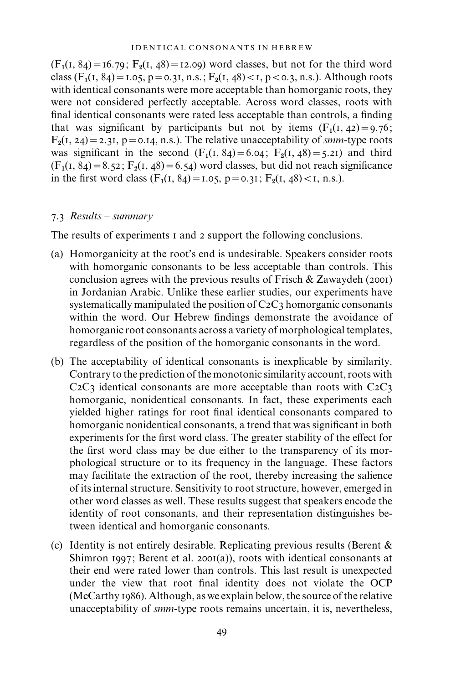$(F_1(I, 84) = 16.79$ ;  $F_2(I, 48) = 12.09$ ) word classes, but not for the third word class (F<sub>1</sub>(1, 84) = 1.05, p = 0.31, n.s.; F<sub>2</sub>(1, 48) < 1, p < 0.3, n.s.). Although roots with identical consonants were more acceptable than homorganic roots, they were not considered perfectly acceptable. Across word classes, roots with final identical consonants were rated less acceptable than controls, a finding that was significant by participants but not by items  $(F_1(I, 42)=9.76;$  $F_2(1, 24) = 2.31$ , p=0.14, n.s.). The relative unacceptability of smm-type roots was significant in the second  $(F_1(1, 84) = 6.04$ ;  $F_2(1, 48) = 5.21$  and third  $(F_1(1, 84)=8.52; F_2(1, 48)=6.54$ ) word classes, but did not reach significance in the first word class  $(F_1(1, 84) = 1.05, p = 0.31; F_2(1, 48) < 1, n.s.).$ 

# 7.3 Results – summary

The results of experiments 1 and 2 support the following conclusions.

- (a) Homorganicity at the root's end is undesirable. Speakers consider roots with homorganic consonants to be less acceptable than controls. This conclusion agrees with the previous results of Frisch  $\&$  Zawaydeh (2001) in Jordanian Arabic. Unlike these earlier studies, our experiments have systematically manipulated the position of C2C3 homorganic consonants within the word. Our Hebrew findings demonstrate the avoidance of homorganic root consonants across a variety of morphological templates, regardless of the position of the homorganic consonants in the word.
- (b) The acceptability of identical consonants is inexplicable by similarity. Contrary to the prediction of the monotonic similarity account, roots with C<sub>2</sub>C<sub>3</sub> identical consonants are more acceptable than roots with C<sub>2</sub>C<sub>3</sub> homorganic, nonidentical consonants. In fact, these experiments each yielded higher ratings for root final identical consonants compared to homorganic nonidentical consonants, a trend that was significant in both experiments for the first word class. The greater stability of the effect for the first word class may be due either to the transparency of its morphological structure or to its frequency in the language. These factors may facilitate the extraction of the root, thereby increasing the salience of its internal structure. Sensitivity to root structure, however, emerged in other word classes as well. These results suggest that speakers encode the identity of root consonants, and their representation distinguishes between identical and homorganic consonants.
- (c) Identity is not entirely desirable. Replicating previous results (Berent & Shimron 1997; Berent et al. 2001(a)), roots with identical consonants at their end were rated lower than controls. This last result is unexpected under the view that root final identity does not violate the OCP  $(McCarthy 1986)$ . Although, as we explain below, the source of the relative unacceptability of smm-type roots remains uncertain, it is, nevertheless,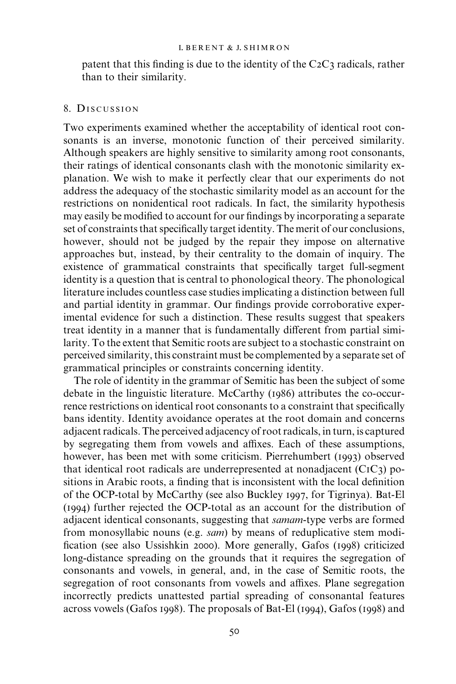patent that this finding is due to the identity of the  $C_2C_3$  radicals, rather than to their similarity.

## 8. DISCUSSION

Two experiments examined whether the acceptability of identical root consonants is an inverse, monotonic function of their perceived similarity. Although speakers are highly sensitive to similarity among root consonants, their ratings of identical consonants clash with the monotonic similarity explanation. We wish to make it perfectly clear that our experiments do not address the adequacy of the stochastic similarity model as an account for the restrictions on nonidentical root radicals. In fact, the similarity hypothesis may easily be modified to account for our findings by incorporating a separate set of constraints that specifically target identity. The merit of our conclusions, however, should not be judged by the repair they impose on alternative approaches but, instead, by their centrality to the domain of inquiry. The existence of grammatical constraints that specifically target full-segment identity is a question that is central to phonological theory. The phonological literature includes countless case studies implicating a distinction between full and partial identity in grammar. Our findings provide corroborative experimental evidence for such a distinction. These results suggest that speakers treat identity in a manner that is fundamentally different from partial similarity. To the extent that Semitic roots are subject to a stochastic constraint on perceived similarity, this constraint must be complemented by a separate set of grammatical principles or constraints concerning identity.

The role of identity in the grammar of Semitic has been the subject of some debate in the linguistic literature. McCarthy (1986) attributes the co-occurrence restrictions on identical root consonants to a constraint that specifically bans identity. Identity avoidance operates at the root domain and concerns adjacent radicals. The perceived adjacency of root radicals, in turn, is captured by segregating them from vowels and affixes. Each of these assumptions, however, has been met with some criticism. Pierrehumbert (1993) observed that identical root radicals are underrepresented at nonadjacent  $(C_1C_3)$  positions in Arabic roots, a finding that is inconsistent with the local definition of the OCP-total by McCarthy (see also Buckley 1997, for Tigrinya). Bat-El (1994) further rejected the OCP-total as an account for the distribution of adjacent identical consonants, suggesting that samam-type verbs are formed from monosyllabic nouns (e.g. sam) by means of reduplicative stem modification (see also Ussishkin 2000). More generally, Gafos (1998) criticized long-distance spreading on the grounds that it requires the segregation of consonants and vowels, in general, and, in the case of Semitic roots, the segregation of root consonants from vowels and affixes. Plane segregation incorrectly predicts unattested partial spreading of consonantal features across vowels (Gafos 1998). The proposals of Bat-El (1994), Gafos (1998) and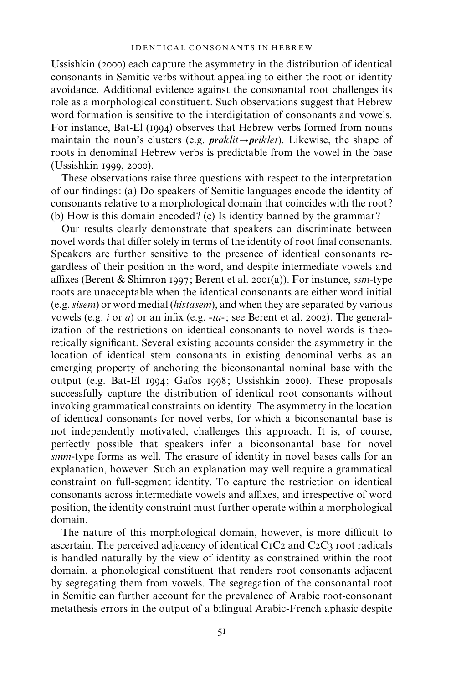Ussishkin (2000) each capture the asymmetry in the distribution of identical consonants in Semitic verbs without appealing to either the root or identity avoidance. Additional evidence against the consonantal root challenges its role as a morphological constituent. Such observations suggest that Hebrew word formation is sensitive to the interdigitation of consonants and vowels. For instance, Bat-El (1994) observes that Hebrew verbs formed from nouns maintain the noun's clusters (e.g. *praklit* $\rightarrow$ *priklet*). Likewise, the shape of roots in denominal Hebrew verbs is predictable from the vowel in the base (Ussishkin 1999, 2000).

These observations raise three questions with respect to the interpretation of our findings: (a) Do speakers of Semitic languages encode the identity of consonants relative to a morphological domain that coincides with the root? (b) How is this domain encoded? (c) Is identity banned by the grammar?

Our results clearly demonstrate that speakers can discriminate between novel words that differ solely in terms of the identity of root final consonants. Speakers are further sensitive to the presence of identical consonants regardless of their position in the word, and despite intermediate vowels and affixes (Berent & Shimron 1997; Berent et al. 2001(a)). For instance, ssm-type roots are unacceptable when the identical consonants are either word initial (e.g. *sisem*) or word medial (*histasem*), and when they are separated by various vowels (e.g. *i* or *a*) or an infix (e.g.  $-ta$ ); see Berent et al. 2002). The generalization of the restrictions on identical consonants to novel words is theoretically significant. Several existing accounts consider the asymmetry in the location of identical stem consonants in existing denominal verbs as an emerging property of anchoring the biconsonantal nominal base with the output (e.g. Bat-El 1994; Gafos 1998; Ussishkin 2000). These proposals successfully capture the distribution of identical root consonants without invoking grammatical constraints on identity. The asymmetry in the location of identical consonants for novel verbs, for which a biconsonantal base is not independently motivated, challenges this approach. It is, of course, perfectly possible that speakers infer a biconsonantal base for novel smm-type forms as well. The erasure of identity in novel bases calls for an explanation, however. Such an explanation may well require a grammatical constraint on full-segment identity. To capture the restriction on identical consonants across intermediate vowels and affixes, and irrespective of word position, the identity constraint must further operate within a morphological domain.

The nature of this morphological domain, however, is more difficult to ascertain. The perceived adjacency of identical C1C2 and C2C3 root radicals is handled naturally by the view of identity as constrained within the root domain, a phonological constituent that renders root consonants adjacent by segregating them from vowels. The segregation of the consonantal root in Semitic can further account for the prevalence of Arabic root-consonant metathesis errors in the output of a bilingual Arabic-French aphasic despite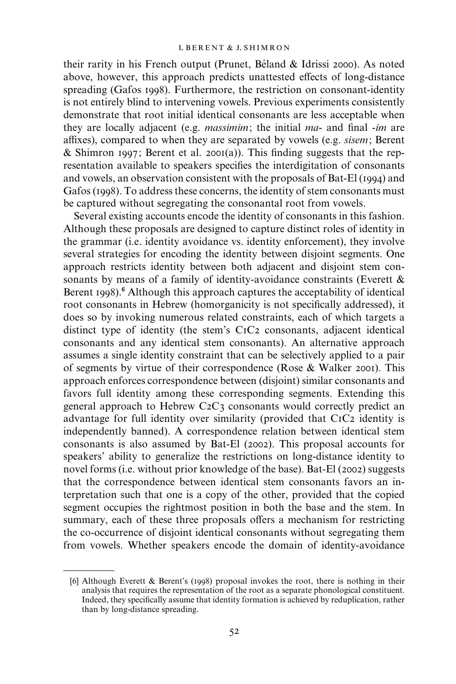their rarity in his French output (Prunet, Béland & Idrissi 2000). As noted above, however, this approach predicts unattested effects of long-distance spreading (Gafos 1998). Furthermore, the restriction on consonant-identity is not entirely blind to intervening vowels. Previous experiments consistently demonstrate that root initial identical consonants are less acceptable when they are locally adjacent (e.g. *massimim*; the initial  $ma$ - and final -im are affixes), compared to when they are separated by vowels (e.g. sisem; Berent & Shimron 1997; Berent et al. 2001(a)). This finding suggests that the representation available to speakers specifies the interdigitation of consonants and vowels, an observation consistent with the proposals of Bat-El (1994) and Gafos (1998). To address these concerns, the identity of stem consonants must be captured without segregating the consonantal root from vowels.

Several existing accounts encode the identity of consonants in this fashion. Although these proposals are designed to capture distinct roles of identity in the grammar (i.e. identity avoidance vs. identity enforcement), they involve several strategies for encoding the identity between disjoint segments. One approach restricts identity between both adjacent and disjoint stem consonants by means of a family of identity-avoidance constraints (Everett  $\&$ Berent 1998).<sup>6</sup> Although this approach captures the acceptability of identical root consonants in Hebrew (homorganicity is not specifically addressed), it does so by invoking numerous related constraints, each of which targets a distinct type of identity (the stem's C1C2 consonants, adjacent identical consonants and any identical stem consonants). An alternative approach assumes a single identity constraint that can be selectively applied to a pair of segments by virtue of their correspondence (Rose & Walker 2001). This approach enforces correspondence between (disjoint) similar consonants and favors full identity among these corresponding segments. Extending this general approach to Hebrew C2C3 consonants would correctly predict an advantage for full identity over similarity (provided that C1C2 identity is independently banned). A correspondence relation between identical stem consonants is also assumed by Bat-El (2002). This proposal accounts for speakers' ability to generalize the restrictions on long-distance identity to novel forms (i.e. without prior knowledge of the base). Bat-El (2002) suggests that the correspondence between identical stem consonants favors an interpretation such that one is a copy of the other, provided that the copied segment occupies the rightmost position in both the base and the stem. In summary, each of these three proposals offers a mechanism for restricting the co-occurrence of disjoint identical consonants without segregating them from vowels. Whether speakers encode the domain of identity-avoidance

<sup>[6]</sup> Although Everett & Berent's (1998) proposal invokes the root, there is nothing in their analysis that requires the representation of the root as a separate phonological constituent. Indeed, they specifically assume that identity formation is achieved by reduplication, rather than by long-distance spreading.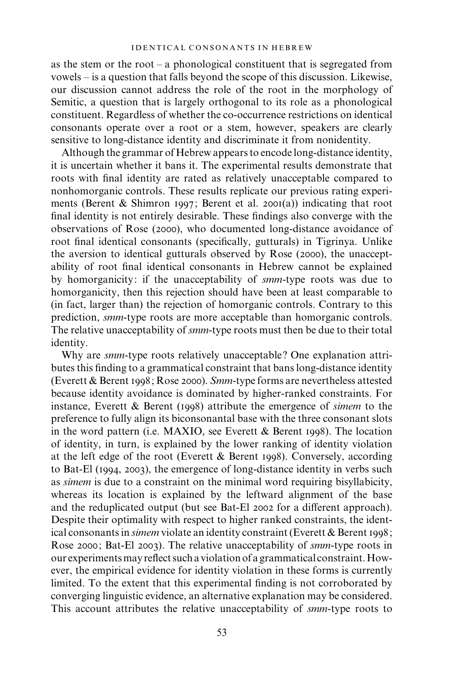as the stem or the root – a phonological constituent that is segregated from vowels – is a question that falls beyond the scope of this discussion. Likewise, our discussion cannot address the role of the root in the morphology of Semitic, a question that is largely orthogonal to its role as a phonological constituent. Regardless of whether the co-occurrence restrictions on identical consonants operate over a root or a stem, however, speakers are clearly sensitive to long-distance identity and discriminate it from nonidentity.

Although the grammar of Hebrew appears to encode long-distance identity, it is uncertain whether it bans it. The experimental results demonstrate that roots with final identity are rated as relatively unacceptable compared to nonhomorganic controls. These results replicate our previous rating experiments (Berent & Shimron 1997; Berent et al. 2001(a)) indicating that root final identity is not entirely desirable. These findings also converge with the observations of Rose (2000), who documented long-distance avoidance of root final identical consonants (specifically, gutturals) in Tigrinya. Unlike the aversion to identical gutturals observed by Rose (2000), the unacceptability of root final identical consonants in Hebrew cannot be explained by homorganicity: if the unacceptability of smm-type roots was due to homorganicity, then this rejection should have been at least comparable to (in fact, larger than) the rejection of homorganic controls. Contrary to this prediction, smm-type roots are more acceptable than homorganic controls. The relative unacceptability of smm-type roots must then be due to their total identity.

Why are smm-type roots relatively unacceptable? One explanation attributes this finding to a grammatical constraint that bans long-distance identity (Everett & Berent 1998; Rose 2000). Smm-type forms are nevertheless attested because identity avoidance is dominated by higher-ranked constraints. For instance, Everett & Berent (1998) attribute the emergence of simem to the preference to fully align its biconsonantal base with the three consonant slots in the word pattern (i.e. MAXIO, see Everett & Berent 1998). The location of identity, in turn, is explained by the lower ranking of identity violation at the left edge of the root (Everett & Berent 1998). Conversely, according to Bat-El (1994, 2003), the emergence of long-distance identity in verbs such as simem is due to a constraint on the minimal word requiring bisyllabicity, whereas its location is explained by the leftward alignment of the base and the reduplicated output (but see Bat-El 2002 for a different approach). Despite their optimality with respect to higher ranked constraints, the identical consonants in simem violate an identity constraint (Everett & Berent 1998; Rose 2000; Bat-El 2003). The relative unacceptability of smm-type roots in our experiments may reflect such a violation of a grammatical constraint. However, the empirical evidence for identity violation in these forms is currently limited. To the extent that this experimental finding is not corroborated by converging linguistic evidence, an alternative explanation may be considered. This account attributes the relative unacceptability of smm-type roots to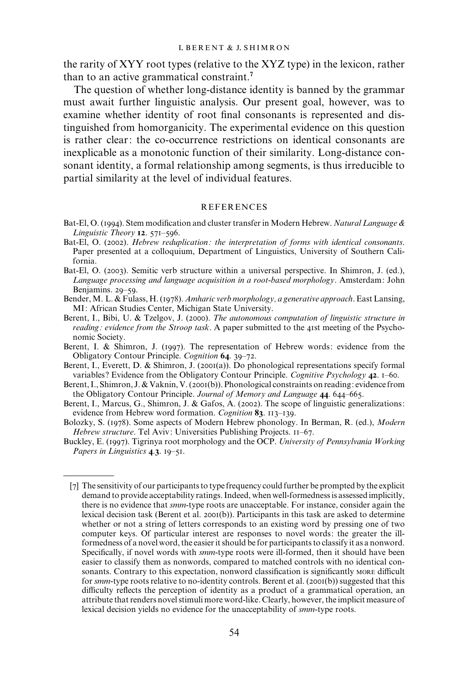the rarity of XYY root types (relative to the XYZ type) in the lexicon, rather than to an active grammatical constraint.<sup>7</sup>

The question of whether long-distance identity is banned by the grammar must await further linguistic analysis. Our present goal, however, was to examine whether identity of root final consonants is represented and distinguished from homorganicity. The experimental evidence on this question is rather clear: the co-occurrence restrictions on identical consonants are inexplicable as a monotonic function of their similarity. Long-distance consonant identity, a formal relationship among segments, is thus irreducible to partial similarity at the level of individual features.

#### REFERENCES

- Bat-El, O. (1994). Stem modification and cluster transfer in Modern Hebrew. Natural Language  $\&$ Linguistic Theory 12. 571–596.
- Bat-El, O. (2002). Hebrew reduplication: the interpretation of forms with identical consonants. Paper presented at a colloquium, Department of Linguistics, University of Southern California.
- Bat-El, O. (2003). Semitic verb structure within a universal perspective. In Shimron, J. (ed.), Language processing and language acquisition in a root-based morphology. Amsterdam: John Benjamins. 29-59.
- Bender, M. L. & Fulass, H. (1978). Amharic verb morphology, a generative approach. East Lansing, MI: African Studies Center, Michigan State University.
- Berent, I., Bibi, U. & Tzelgov, J. (2000). The autonomous computation of linguistic structure in reading: evidence from the Stroop task. A paper submitted to the 41st meeting of the Psychonomic Society.
- Berent, I. & Shimron, J. (1997). The representation of Hebrew words: evidence from the Obligatory Contour Principle. Cognition 64. 39–72.
- Berent, I., Everett, D. & Shimron, J. (2001(a)). Do phonological representations specify formal variables? Evidence from the Obligatory Contour Principle. Cognitive Psychology 42. 1–60.
- Berent, I., Shimron, J. & Vaknin, V. (2001(b)). Phonological constraints on reading: evidence from the Obligatory Contour Principle. Journal of Memory and Language 44. 644–665.
- Berent, I., Marcus, G., Shimron, J. & Gafos, A. (2002). The scope of linguistic generalizations: evidence from Hebrew word formation. Cognition 83. 113–139.
- Bolozky, S. (1978). Some aspects of Modern Hebrew phonology. In Berman, R. (ed.), Modern Hebrew structure. Tel Aviv: Universities Publishing Projects. 11–67.
- Buckley, E. (1997). Tigrinya root morphology and the OCP. University of Pennsylvania Working Papers in Linguistics 4.3. 19–51.

 $[7]$  The sensitivity of our participants to type frequency could further be prompted by the explicit demand to provide acceptability ratings. Indeed, when well-formedness is assessed implicitly, there is no evidence that smm-type roots are unacceptable. For instance, consider again the lexical decision task (Berent et al. 2001(b)). Participants in this task are asked to determine whether or not a string of letters corresponds to an existing word by pressing one of two computer keys. Of particular interest are responses to novel words: the greater the illformedness of a novel word, the easier it should be for participants to classify it as a nonword. Specifically, if novel words with smm-type roots were ill-formed, then it should have been easier to classify them as nonwords, compared to matched controls with no identical consonants. Contrary to this expectation, nonword classification is significantly MORE difficult for smm-type roots relative to no-identity controls. Berent et al. (2001(b)) suggested that this difficulty reflects the perception of identity as a product of a grammatical operation, an attribute that renders novel stimuli more word-like. Clearly, however, the implicit measure of lexical decision yields no evidence for the unacceptability of smm-type roots.